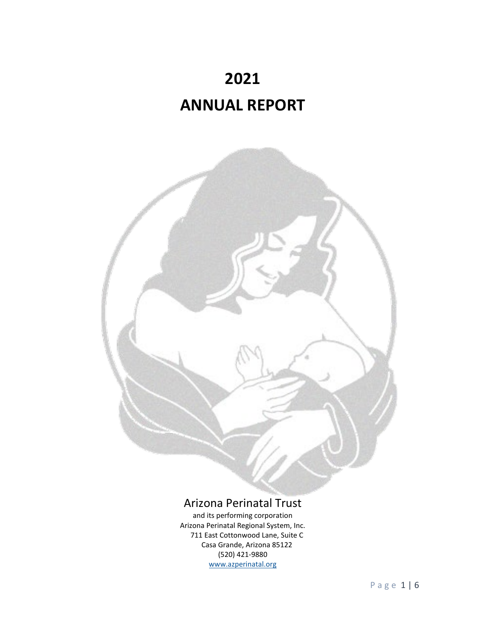



# Arizona Perinatal Trust

and its performing corporation Arizona Perinatal Regional System, Inc. 711 East Cottonwood Lane, Suite C Casa Grande, Arizona 85122 (520) 421‐9880 [www.azperinatal.org](http://www.azperinatal.org/)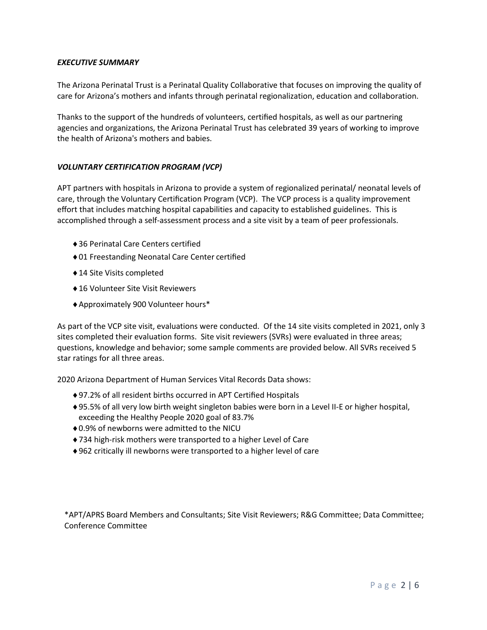# *EXECUTIVE SUMMARY*

The Arizona Perinatal Trust is a Perinatal Quality Collaborative that focuses on improving the quality of care for Arizona's mothers and infants through perinatal regionalization, education and collaboration.

Thanks to the support of the hundreds of volunteers, certified hospitals, as well as our partnering agencies and organizations, the Arizona Perinatal Trust has celebrated 39 years of working to improve the health of Arizona's mothers and babies.

# *VOLUNTARY CERTIFICATION PROGRAM (VCP)*

APT partners with hospitals in Arizona to provide a system of regionalized perinatal/ neonatal levels of care, through the Voluntary Certification Program (VCP). The VCP process is a quality improvement effort that includes matching hospital capabilities and capacity to established guidelines. This is accomplished through a self‐assessment process and a site visit by a team of peer professionals.

- ♦36 Perinatal Care Centers certified
- ♦01 Freestanding Neonatal Care Center certified
- ♦14 Site Visits completed
- ♦16 Volunteer Site Visit Reviewers
- ♦Approximately 900 Volunteer hours\*

As part of the VCP site visit, evaluations were conducted. Of the 14 site visits completed in 2021, only 3 sites completed their evaluation forms. Site visit reviewers (SVRs) were evaluated in three areas; questions, knowledge and behavior; some sample comments are provided below. All SVRs received 5 star ratings for all three areas.

2020 Arizona Department of Human Services Vital Records Data shows:

- ♦97.2% of all resident births occurred in APT Certified Hospitals
- ♦95.5% of all very low birth weight singleton babies were born in a Level II‐E or higher hospital, exceeding the Healthy People 2020 goal of 83.7%
- ♦0.9% of newborns were admitted to the NICU
- ◆734 high-risk mothers were transported to a higher Level of Care
- ♦962 critically ill newborns were transported to a higher level of care

\*APT/APRS Board Members and Consultants; Site Visit Reviewers; R&G Committee; Data Committee; Conference Committee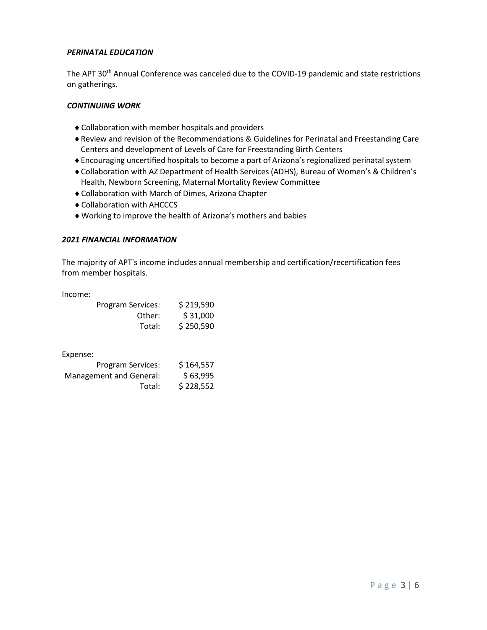# *PERINATAL EDUCATION*

The APT 30<sup>th</sup> Annual Conference was canceled due to the COVID-19 pandemic and state restrictions on gatherings.

# *CONTINUING WORK*

- ♦Collaboration with member hospitals and providers
- ♦Review and revision of the Recommendations & Guidelines for Perinatal and Freestanding Care Centers and development of Levels of Care for Freestanding Birth Centers
- ♦Encouraging uncertified hospitals to become a part of Arizona's regionalized perinatal system
- ♦Collaboration with AZ Department of Health Services (ADHS), Bureau of Women's & Children's Health, Newborn Screening, Maternal Mortality Review Committee
- ♦Collaboration with March of Dimes, Arizona Chapter
- ♦Collaboration with AHCCCS
- ♦Working to improve the health of Arizona's mothers and babies

### *2021 FINANCIAL INFORMATION*

The majority of APT's income includes annual membership and certification/recertification fees from member hospitals.

Income:

| <b>Program Services:</b> | \$219,590 |
|--------------------------|-----------|
| Other:                   | \$31,000  |
| Total:                   | \$250,590 |

Expense:

| <b>Program Services:</b> | \$164,557 |
|--------------------------|-----------|
| Management and General:  | \$63,995  |
| Total:                   | \$228,552 |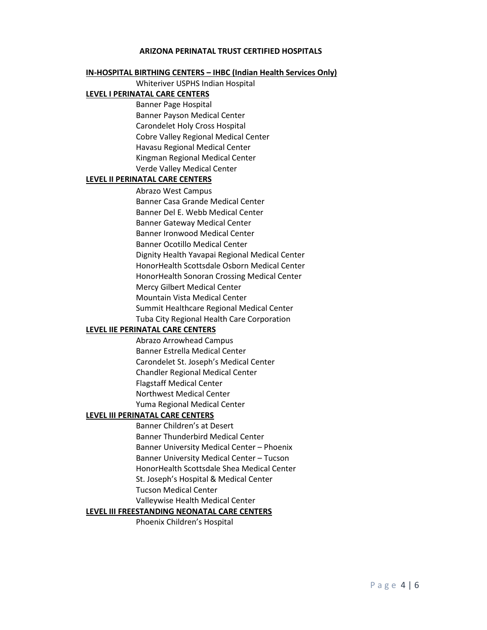### **ARIZONA PERINATAL TRUST CERTIFIED HOSPITALS**

#### **IN-HOSPITAL BIRTHING CENTERS – IHBC (Indian Health Services Only)**

Whiteriver USPHS Indian Hospital

# **LEVEL I PERINATAL CARE CENTERS**

Banner Page Hospital Banner Payson Medical Center Carondelet Holy Cross Hospital Cobre Valley Regional Medical Center Havasu Regional Medical Center Kingman Regional Medical Center Verde Valley Medical Center

### **LEVEL II PERINATAL CARE CENTERS**

Abrazo West Campus Banner Casa Grande Medical Center Banner Del E. Webb Medical Center Banner Gateway Medical Center Banner Ironwood Medical Center Banner Ocotillo Medical Center Dignity Health Yavapai Regional Medical Center HonorHealth Scottsdale Osborn Medical Center HonorHealth Sonoran Crossing Medical Center Mercy Gilbert Medical Center Mountain Vista Medical Center Summit Healthcare Regional Medical Center Tuba City Regional Health Care Corporation

### **LEVEL IIE PERINATAL CARE CENTERS**

Abrazo Arrowhead Campus Banner Estrella Medical Center Carondelet St. Joseph's Medical Center Chandler Regional Medical Center Flagstaff Medical Center Northwest Medical Center Yuma Regional Medical Center

# **LEVEL III PERINATAL CARE CENTERS**

Banner Children's at Desert Banner Thunderbird Medical Center Banner University Medical Center – Phoenix Banner University Medical Center – Tucson HonorHealth Scottsdale Shea Medical Center St. Joseph's Hospital & Medical Center Tucson Medical Center

Valleywise Health Medical Center

### **LEVEL III FREESTANDING NEONATAL CARE CENTERS**

Phoenix Children's Hospital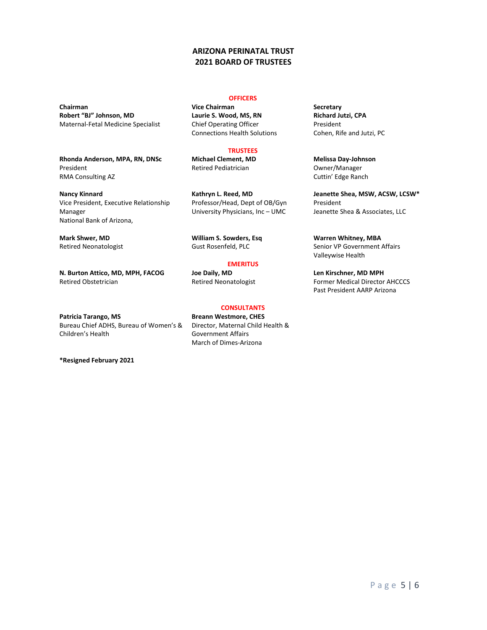# **ARIZONA PERINATAL TRUST 2021 BOARD OF TRUSTEES**

**Robert "BJ" Johnson, MD** Maternal-Fetal Medicine Specialist

**Rhonda Anderson, MPA, RN, DNSc** President RMA Consulting AZ

**Nancy Kinnard** Vice President, Executive Relationship Manager National Bank of Arizona,

**Mark Shwer, MD** Retired Neonatologist

**N. Burton Attico, MD, MPH, FACOG** Retired Obstetrician

**Patricia Tarango, MS** Bureau Chief ADHS, Bureau of Women's & Children's Health

**\*Resigned February 2021**

#### **OFFICERS**

**Chairman Chairman Secretary Vice Chairman Secretary Laurie S. Wood, MS, RN** Chief Operating Officer Connections Health Solutions

### **TRUSTEES**

**Michael Clement, MD** Retired Pediatrician

**Kathryn L. Reed, MD** Professor/Head, Dept of OB/Gyn University Physicians, Inc – UMC

**William S. Sowders, Esq** Gust Rosenfeld, PLC

# **EMERITUS**

**Joe Daily, MD** Retired Neonatologist

#### **CONSULTANTS**

**Breann Westmore, CHES** Director, Maternal Child Health & Government Affairs March of Dimes-Arizona

**Richard Jutzi, CPA** President Cohen, Rife and Jutzi, PC

**Melissa Day-Johnson** Owner/Manager Cuttin' Edge Ranch

**Jeanette Shea, MSW, ACSW, LCSW\*** President Jeanette Shea & Associates, LLC

**Warren Whitney, MBA** Senior VP Government Affairs Valleywise Health

**Len Kirschner, MD MPH** Former Medical Director AHCCCS Past President AARP Arizona